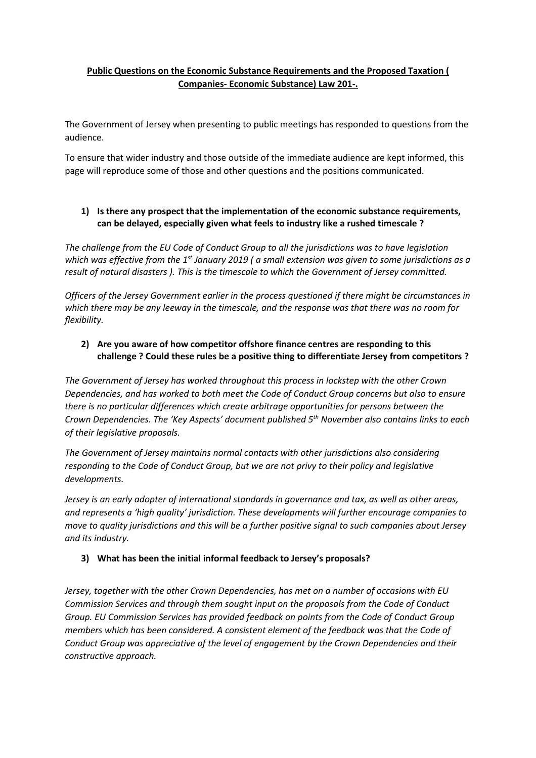# **Public Questions on the Economic Substance Requirements and the Proposed Taxation ( Companies- Economic Substance) Law 201-.**

The Government of Jersey when presenting to public meetings has responded to questions from the audience.

To ensure that wider industry and those outside of the immediate audience are kept informed, this page will reproduce some of those and other questions and the positions communicated.

## **1) Is there any prospect that the implementation of the economic substance requirements, can be delayed, especially given what feels to industry like a rushed timescale ?**

*The challenge from the EU Code of Conduct Group to all the jurisdictions was to have legislation which was effective from the 1st January 2019 ( a small extension was given to some jurisdictions as a result of natural disasters ). This is the timescale to which the Government of Jersey committed.* 

*Officers of the Jersey Government earlier in the process questioned if there might be circumstances in which there may be any leeway in the timescale, and the response was that there was no room for flexibility.* 

## **2) Are you aware of how competitor offshore finance centres are responding to this challenge ? Could these rules be a positive thing to differentiate Jersey from competitors ?**

*The Government of Jersey has worked throughout this process in lockstep with the other Crown Dependencies, and has worked to both meet the Code of Conduct Group concerns but also to ensure there is no particular differences which create arbitrage opportunities for persons between the Crown Dependencies. The 'Key Aspects' document published 5th November also contains links to each of their legislative proposals.* 

*The Government of Jersey maintains normal contacts with other jurisdictions also considering responding to the Code of Conduct Group, but we are not privy to their policy and legislative developments.* 

*Jersey is an early adopter of international standards in governance and tax, as well as other areas, and represents a 'high quality' jurisdiction. These developments will further encourage companies to move to quality jurisdictions and this will be a further positive signal to such companies about Jersey and its industry.* 

#### **3) What has been the initial informal feedback to Jersey's proposals?**

*Jersey, together with the other Crown Dependencies, has met on a number of occasions with EU Commission Services and through them sought input on the proposals from the Code of Conduct Group. EU Commission Services has provided feedback on points from the Code of Conduct Group members which has been considered. A consistent element of the feedback was that the Code of Conduct Group was appreciative of the level of engagement by the Crown Dependencies and their constructive approach.*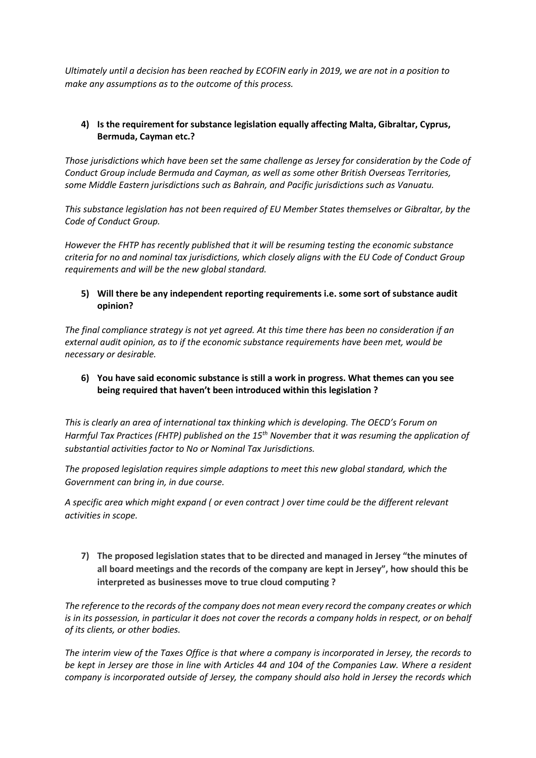*Ultimately until a decision has been reached by ECOFIN early in 2019, we are not in a position to make any assumptions as to the outcome of this process.* 

## **4) Is the requirement for substance legislation equally affecting Malta, Gibraltar, Cyprus, Bermuda, Cayman etc.?**

*Those jurisdictions which have been set the same challenge as Jersey for consideration by the Code of Conduct Group include Bermuda and Cayman, as well as some other British Overseas Territories, some Middle Eastern jurisdictions such as Bahrain, and Pacific jurisdictions such as Vanuatu.* 

*This substance legislation has not been required of EU Member States themselves or Gibraltar, by the Code of Conduct Group.* 

*However the FHTP has recently published that it will be resuming testing the economic substance criteria for no and nominal tax jurisdictions, which closely aligns with the EU Code of Conduct Group requirements and will be the new global standard.* 

#### **5) Will there be any independent reporting requirements i.e. some sort of substance audit opinion?**

*The final compliance strategy is not yet agreed. At this time there has been no consideration if an external audit opinion, as to if the economic substance requirements have been met, would be necessary or desirable.* 

## **6) You have said economic substance is still a work in progress. What themes can you see being required that haven't been introduced within this legislation ?**

*This is clearly an area of international tax thinking which is developing. The OECD's Forum on Harmful Tax Practices (FHTP) published on the 15th November that it was resuming the application of substantial activities factor to No or Nominal Tax Jurisdictions.* 

*The proposed legislation requires simple adaptions to meet this new global standard, which the Government can bring in, in due course.* 

*A specific area which might expand ( or even contract ) over time could be the different relevant activities in scope.* 

**7) The proposed legislation states that to be directed and managed in Jersey "the minutes of all board meetings and the records of the company are kept in Jersey", how should this be interpreted as businesses move to true cloud computing ?** 

*The reference to the records of the company does not mean every record the company creates or which is in its possession, in particular it does not cover the records a company holds in respect, or on behalf of its clients, or other bodies.* 

*The interim view of the Taxes Office is that where a company is incorporated in Jersey, the records to be kept in Jersey are those in line with Articles 44 and 104 of the Companies Law. Where a resident company is incorporated outside of Jersey, the company should also hold in Jersey the records which*